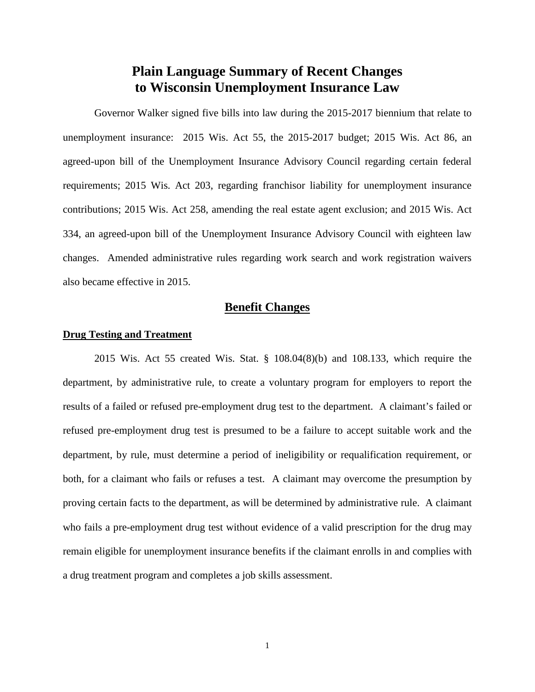# **Plain Language Summary of Recent Changes to Wisconsin Unemployment Insurance Law**

Governor Walker signed five bills into law during the 2015-2017 biennium that relate to unemployment insurance: 2015 Wis. Act 55, the 2015-2017 budget; 2015 Wis. Act 86, an agreed-upon bill of the Unemployment Insurance Advisory Council regarding certain federal requirements; 2015 Wis. Act 203, regarding franchisor liability for unemployment insurance contributions; 2015 Wis. Act 258, amending the real estate agent exclusion; and 2015 Wis. Act 334, an agreed-upon bill of the Unemployment Insurance Advisory Council with eighteen law changes. Amended administrative rules regarding work search and work registration waivers also became effective in 2015.

# **Benefit Changes**

## **Drug Testing and Treatment**

2015 Wis. Act 55 created Wis. Stat. § 108.04(8)(b) and 108.133, which require the department, by administrative rule, to create a voluntary program for employers to report the results of a failed or refused pre-employment drug test to the department. A claimant's failed or refused pre-employment drug test is presumed to be a failure to accept suitable work and the department, by rule, must determine a period of ineligibility or requalification requirement, or both, for a claimant who fails or refuses a test. A claimant may overcome the presumption by proving certain facts to the department, as will be determined by administrative rule. A claimant who fails a pre-employment drug test without evidence of a valid prescription for the drug may remain eligible for unemployment insurance benefits if the claimant enrolls in and complies with a drug treatment program and completes a job skills assessment.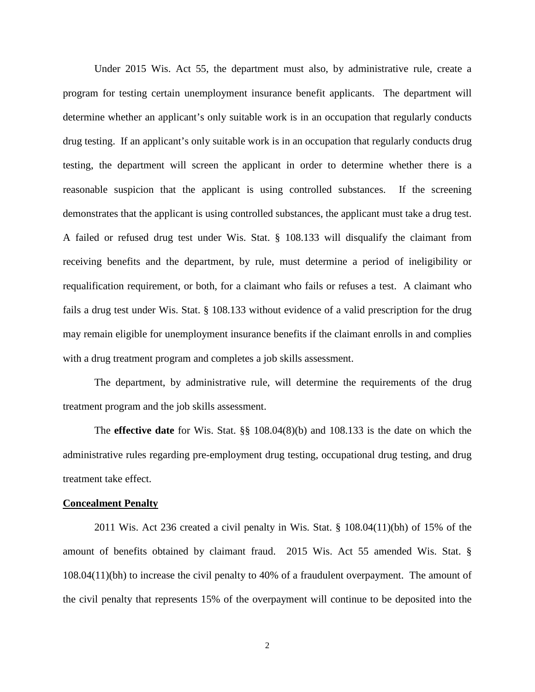Under 2015 Wis. Act 55, the department must also, by administrative rule, create a program for testing certain unemployment insurance benefit applicants. The department will determine whether an applicant's only suitable work is in an occupation that regularly conducts drug testing. If an applicant's only suitable work is in an occupation that regularly conducts drug testing, the department will screen the applicant in order to determine whether there is a reasonable suspicion that the applicant is using controlled substances. If the screening demonstrates that the applicant is using controlled substances, the applicant must take a drug test. A failed or refused drug test under Wis. Stat. § 108.133 will disqualify the claimant from receiving benefits and the department, by rule, must determine a period of ineligibility or requalification requirement, or both, for a claimant who fails or refuses a test. A claimant who fails a drug test under Wis. Stat. § 108.133 without evidence of a valid prescription for the drug may remain eligible for unemployment insurance benefits if the claimant enrolls in and complies with a drug treatment program and completes a job skills assessment.

The department, by administrative rule, will determine the requirements of the drug treatment program and the job skills assessment.

The **effective date** for Wis. Stat. §§ 108.04(8)(b) and 108.133 is the date on which the administrative rules regarding pre-employment drug testing, occupational drug testing, and drug treatment take effect.

#### **Concealment Penalty**

2011 Wis. Act 236 created a civil penalty in Wis. Stat. § 108.04(11)(bh) of 15% of the amount of benefits obtained by claimant fraud. 2015 Wis. Act 55 amended Wis. Stat. § 108.04(11)(bh) to increase the civil penalty to 40% of a fraudulent overpayment. The amount of the civil penalty that represents 15% of the overpayment will continue to be deposited into the

2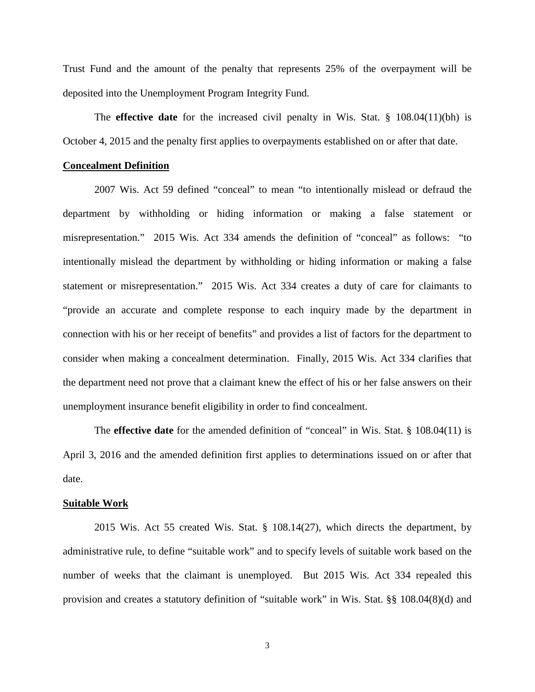Trust Fund and the amount of the penalty that represents 25% of the overpayment will be deposited into the Unemployment Program Integrity Fund.

The **effective date** for the increased civil penalty in Wis. Stat. § 108.04(11)(bh) is October 4, 2015 and the penalty first applies to overpayments established on or after that date.

## **Concealment Definition**

2007 Wis. Act 59 defined "conceal" to mean "to intentionally mislead or defraud the department by withholding or hiding information or making a false statement or misrepresentation." 2015 Wis. Act 334 amends the definition of "conceal" as follows: "to intentionally mislead the department by withholding or hiding information or making a false statement or misrepresentation." 2015 Wis. Act 334 creates a duty of care for claimants to "provide an accurate and complete response to each inquiry made by the department in connection with his or her receipt of benefits" and provides a list of factors for the department to consider when making a concealment determination. Finally, 2015 Wis. Act 334 clarifies that the department need not prove that a claimant knew the effect of his or her false answers on their unemployment insurance benefit eligibility in order to find concealment.

The **effective date** for the amended definition of "conceal" in Wis. Stat. § 108.04(11) is April 3, 2016 and the amended definition first applies to determinations issued on or after that date.

#### **Suitable Work**

2015 Wis. Act 55 created Wis. Stat. § 108.14(27), which directs the department, by administrative rule, to define "suitable work" and to specify levels of suitable work based on the number of weeks that the claimant is unemployed. But 2015 Wis. Act 334 repealed this provision and creates a statutory definition of "suitable work" in Wis. Stat. §§ 108.04(8)(d) and

3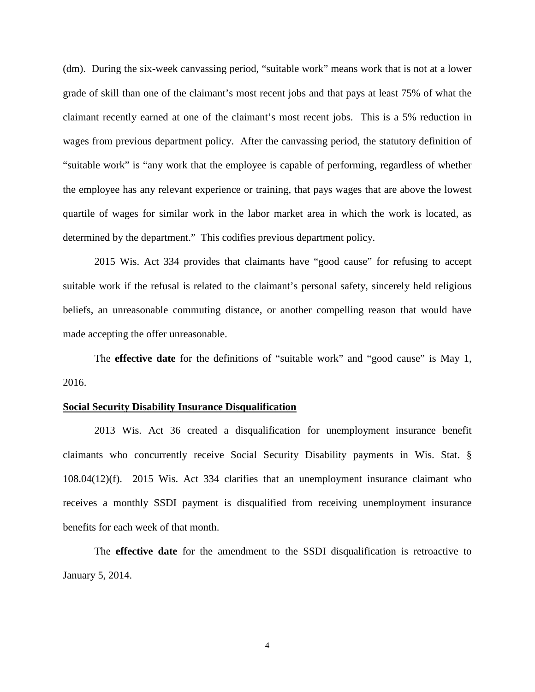(dm). During the six-week canvassing period, "suitable work" means work that is not at a lower grade of skill than one of the claimant's most recent jobs and that pays at least 75% of what the claimant recently earned at one of the claimant's most recent jobs. This is a 5% reduction in wages from previous department policy. After the canvassing period, the statutory definition of "suitable work" is "any work that the employee is capable of performing, regardless of whether the employee has any relevant experience or training, that pays wages that are above the lowest quartile of wages for similar work in the labor market area in which the work is located, as determined by the department." This codifies previous department policy.

2015 Wis. Act 334 provides that claimants have "good cause" for refusing to accept suitable work if the refusal is related to the claimant's personal safety, sincerely held religious beliefs, an unreasonable commuting distance, or another compelling reason that would have made accepting the offer unreasonable.

The **effective date** for the definitions of "suitable work" and "good cause" is May 1, 2016.

## **Social Security Disability Insurance Disqualification**

2013 Wis. Act 36 created a disqualification for unemployment insurance benefit claimants who concurrently receive Social Security Disability payments in Wis. Stat. § 108.04(12)(f). 2015 Wis. Act 334 clarifies that an unemployment insurance claimant who receives a monthly SSDI payment is disqualified from receiving unemployment insurance benefits for each week of that month.

The **effective date** for the amendment to the SSDI disqualification is retroactive to January 5, 2014.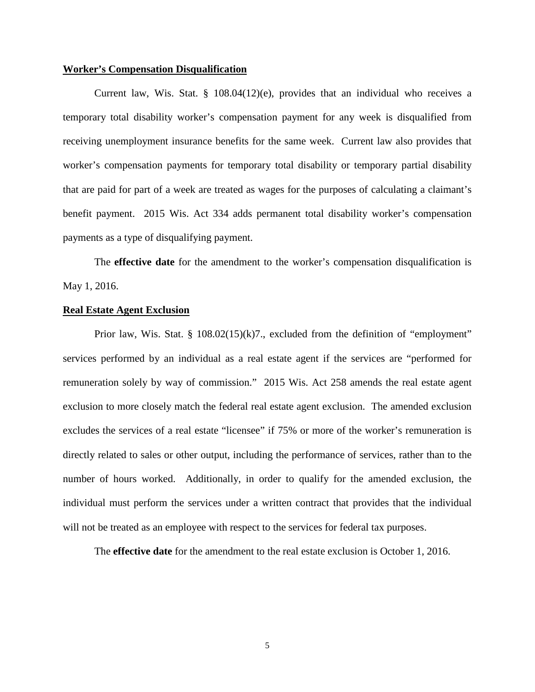#### **Worker's Compensation Disqualification**

Current law, Wis. Stat. § 108.04(12)(e), provides that an individual who receives a temporary total disability worker's compensation payment for any week is disqualified from receiving unemployment insurance benefits for the same week. Current law also provides that worker's compensation payments for temporary total disability or temporary partial disability that are paid for part of a week are treated as wages for the purposes of calculating a claimant's benefit payment. 2015 Wis. Act 334 adds permanent total disability worker's compensation payments as a type of disqualifying payment.

The **effective date** for the amendment to the worker's compensation disqualification is May 1, 2016.

### **Real Estate Agent Exclusion**

Prior law, Wis. Stat. §  $108.02(15)(k)7$ ., excluded from the definition of "employment" services performed by an individual as a real estate agent if the services are "performed for remuneration solely by way of commission." 2015 Wis. Act 258 amends the real estate agent exclusion to more closely match the federal real estate agent exclusion. The amended exclusion excludes the services of a real estate "licensee" if 75% or more of the worker's remuneration is directly related to sales or other output, including the performance of services, rather than to the number of hours worked. Additionally, in order to qualify for the amended exclusion, the individual must perform the services under a written contract that provides that the individual will not be treated as an employee with respect to the services for federal tax purposes.

The **effective date** for the amendment to the real estate exclusion is October 1, 2016.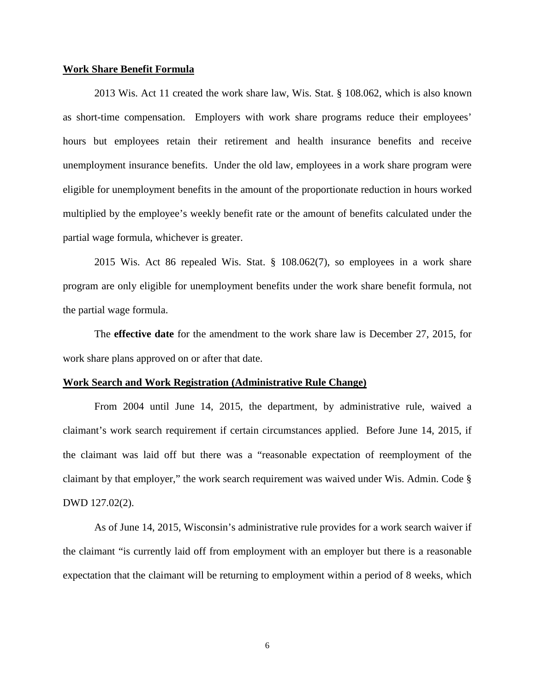#### **Work Share Benefit Formula**

2013 Wis. Act 11 created the work share law, Wis. Stat. § 108.062, which is also known as short-time compensation. Employers with work share programs reduce their employees' hours but employees retain their retirement and health insurance benefits and receive unemployment insurance benefits. Under the old law, employees in a work share program were eligible for unemployment benefits in the amount of the proportionate reduction in hours worked multiplied by the employee's weekly benefit rate or the amount of benefits calculated under the partial wage formula, whichever is greater.

2015 Wis. Act 86 repealed Wis. Stat. § 108.062(7), so employees in a work share program are only eligible for unemployment benefits under the work share benefit formula, not the partial wage formula.

The **effective date** for the amendment to the work share law is December 27, 2015, for work share plans approved on or after that date.

#### **Work Search and Work Registration (Administrative Rule Change)**

From 2004 until June 14, 2015, the department, by administrative rule, waived a claimant's work search requirement if certain circumstances applied. Before June 14, 2015, if the claimant was laid off but there was a "reasonable expectation of reemployment of the claimant by that employer," the work search requirement was waived under Wis. Admin. Code § DWD 127.02(2).

As of June 14, 2015, Wisconsin's administrative rule provides for a work search waiver if the claimant "is currently laid off from employment with an employer but there is a reasonable expectation that the claimant will be returning to employment within a period of 8 weeks, which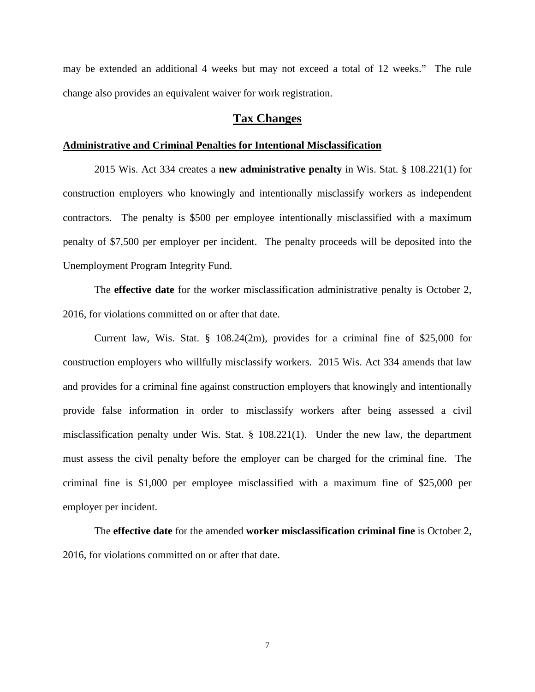may be extended an additional 4 weeks but may not exceed a total of 12 weeks." The rule change also provides an equivalent waiver for work registration.

# **Tax Changes**

#### **Administrative and Criminal Penalties for Intentional Misclassification**

2015 Wis. Act 334 creates a **new administrative penalty** in Wis. Stat. § 108.221(1) for construction employers who knowingly and intentionally misclassify workers as independent contractors. The penalty is \$500 per employee intentionally misclassified with a maximum penalty of \$7,500 per employer per incident. The penalty proceeds will be deposited into the Unemployment Program Integrity Fund.

The **effective date** for the worker misclassification administrative penalty is October 2, 2016, for violations committed on or after that date.

Current law, Wis. Stat. § 108.24(2m), provides for a criminal fine of \$25,000 for construction employers who willfully misclassify workers. 2015 Wis. Act 334 amends that law and provides for a criminal fine against construction employers that knowingly and intentionally provide false information in order to misclassify workers after being assessed a civil misclassification penalty under Wis. Stat. § 108.221(1). Under the new law, the department must assess the civil penalty before the employer can be charged for the criminal fine. The criminal fine is \$1,000 per employee misclassified with a maximum fine of \$25,000 per employer per incident.

The **effective date** for the amended **worker misclassification criminal fine** is October 2, 2016, for violations committed on or after that date.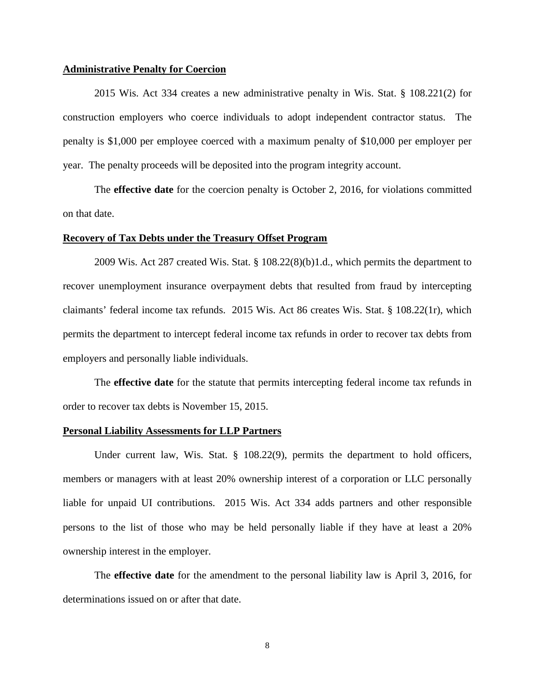## **Administrative Penalty for Coercion**

2015 Wis. Act 334 creates a new administrative penalty in Wis. Stat. § 108.221(2) for construction employers who coerce individuals to adopt independent contractor status. The penalty is \$1,000 per employee coerced with a maximum penalty of \$10,000 per employer per year. The penalty proceeds will be deposited into the program integrity account.

The **effective date** for the coercion penalty is October 2, 2016, for violations committed on that date.

#### **Recovery of Tax Debts under the Treasury Offset Program**

2009 Wis. Act 287 created Wis. Stat. § 108.22(8)(b)1.d., which permits the department to recover unemployment insurance overpayment debts that resulted from fraud by intercepting claimants' federal income tax refunds. 2015 Wis. Act 86 creates Wis. Stat. § 108.22(1r), which permits the department to intercept federal income tax refunds in order to recover tax debts from employers and personally liable individuals.

The **effective date** for the statute that permits intercepting federal income tax refunds in order to recover tax debts is November 15, 2015.

## **Personal Liability Assessments for LLP Partners**

Under current law, Wis. Stat. § 108.22(9), permits the department to hold officers, members or managers with at least 20% ownership interest of a corporation or LLC personally liable for unpaid UI contributions. 2015 Wis. Act 334 adds partners and other responsible persons to the list of those who may be held personally liable if they have at least a 20% ownership interest in the employer.

The **effective date** for the amendment to the personal liability law is April 3, 2016, for determinations issued on or after that date.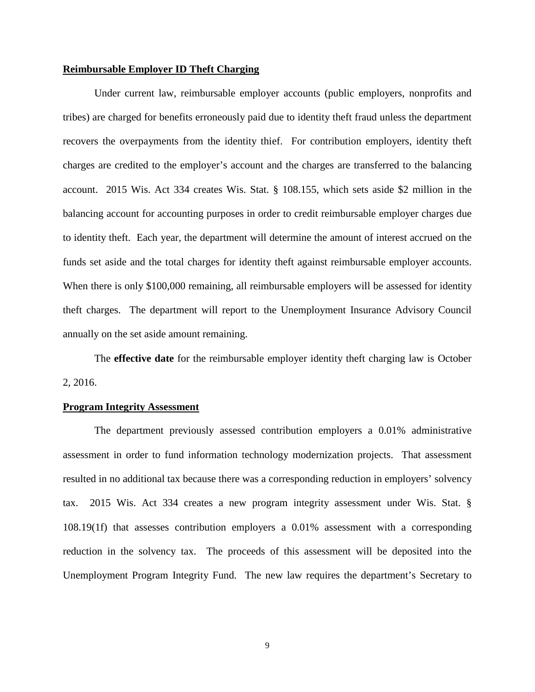## **Reimbursable Employer ID Theft Charging**

Under current law, reimbursable employer accounts (public employers, nonprofits and tribes) are charged for benefits erroneously paid due to identity theft fraud unless the department recovers the overpayments from the identity thief. For contribution employers, identity theft charges are credited to the employer's account and the charges are transferred to the balancing account. 2015 Wis. Act 334 creates Wis. Stat. § 108.155, which sets aside \$2 million in the balancing account for accounting purposes in order to credit reimbursable employer charges due to identity theft. Each year, the department will determine the amount of interest accrued on the funds set aside and the total charges for identity theft against reimbursable employer accounts. When there is only \$100,000 remaining, all reimbursable employers will be assessed for identity theft charges. The department will report to the Unemployment Insurance Advisory Council annually on the set aside amount remaining.

The **effective date** for the reimbursable employer identity theft charging law is October 2, 2016.

## **Program Integrity Assessment**

The department previously assessed contribution employers a 0.01% administrative assessment in order to fund information technology modernization projects. That assessment resulted in no additional tax because there was a corresponding reduction in employers' solvency tax. 2015 Wis. Act 334 creates a new program integrity assessment under Wis. Stat. § 108.19(1f) that assesses contribution employers a 0.01% assessment with a corresponding reduction in the solvency tax.The proceeds of this assessment will be deposited into the Unemployment Program Integrity Fund. The new law requires the department's Secretary to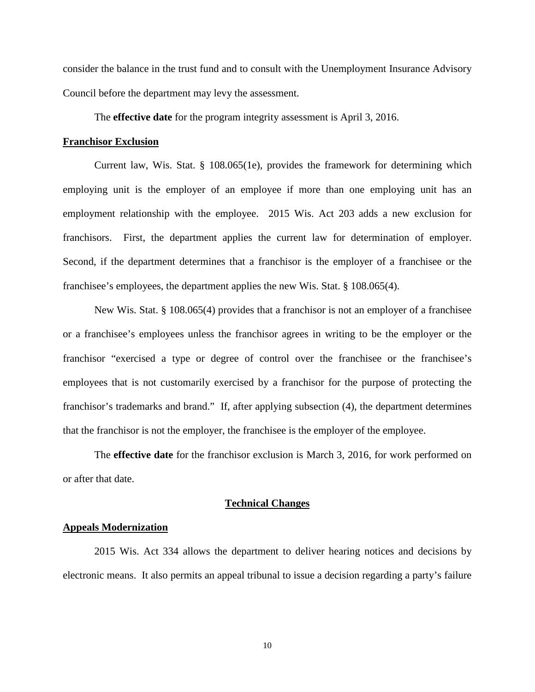consider the balance in the trust fund and to consult with the Unemployment Insurance Advisory Council before the department may levy the assessment.

The **effective date** for the program integrity assessment is April 3, 2016.

#### **Franchisor Exclusion**

Current law, Wis. Stat. § 108.065(1e), provides the framework for determining which employing unit is the employer of an employee if more than one employing unit has an employment relationship with the employee. 2015 Wis. Act 203 adds a new exclusion for franchisors. First, the department applies the current law for determination of employer. Second, if the department determines that a franchisor is the employer of a franchisee or the franchisee's employees, the department applies the new Wis. Stat. § 108.065(4).

New Wis. Stat. § 108.065(4) provides that a franchisor is not an employer of a franchisee or a franchisee's employees unless the franchisor agrees in writing to be the employer or the franchisor "exercised a type or degree of control over the franchisee or the franchisee's employees that is not customarily exercised by a franchisor for the purpose of protecting the franchisor's trademarks and brand." If, after applying subsection (4), the department determines that the franchisor is not the employer, the franchisee is the employer of the employee.

The **effective date** for the franchisor exclusion is March 3, 2016, for work performed on or after that date.

#### **Technical Changes**

#### **Appeals Modernization**

2015 Wis. Act 334 allows the department to deliver hearing notices and decisions by electronic means. It also permits an appeal tribunal to issue a decision regarding a party's failure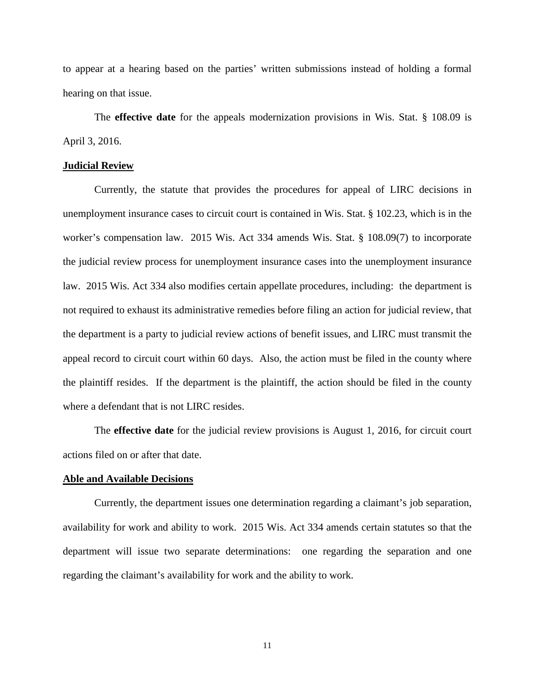to appear at a hearing based on the parties' written submissions instead of holding a formal hearing on that issue.

The **effective date** for the appeals modernization provisions in Wis. Stat. § 108.09 is April 3, 2016.

#### **Judicial Review**

Currently, the statute that provides the procedures for appeal of LIRC decisions in unemployment insurance cases to circuit court is contained in Wis. Stat. § 102.23, which is in the worker's compensation law. 2015 Wis. Act 334 amends Wis. Stat. § 108.09(7) to incorporate the judicial review process for unemployment insurance cases into the unemployment insurance law. 2015 Wis. Act 334 also modifies certain appellate procedures, including: the department is not required to exhaust its administrative remedies before filing an action for judicial review, that the department is a party to judicial review actions of benefit issues, and LIRC must transmit the appeal record to circuit court within 60 days. Also, the action must be filed in the county where the plaintiff resides. If the department is the plaintiff, the action should be filed in the county where a defendant that is not LIRC resides.

The **effective date** for the judicial review provisions is August 1, 2016, for circuit court actions filed on or after that date.

#### **Able and Available Decisions**

Currently, the department issues one determination regarding a claimant's job separation, availability for work and ability to work. 2015 Wis. Act 334 amends certain statutes so that the department will issue two separate determinations: one regarding the separation and one regarding the claimant's availability for work and the ability to work.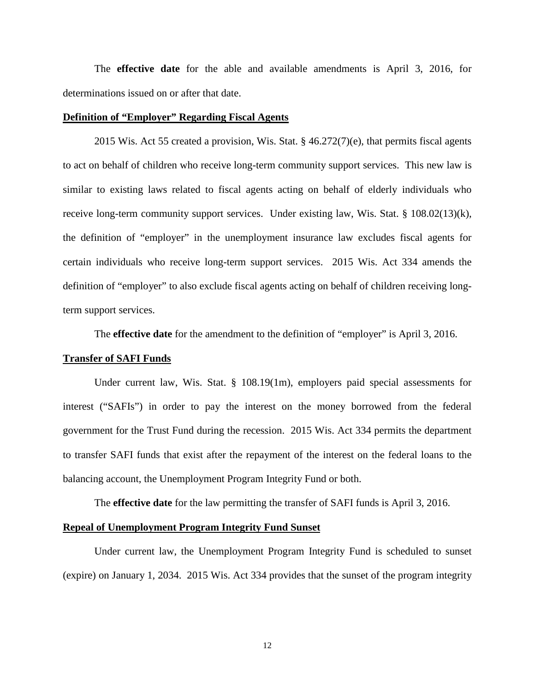The **effective date** for the able and available amendments is April 3, 2016, for determinations issued on or after that date.

## **Definition of "Employer" Regarding Fiscal Agents**

2015 Wis. Act 55 created a provision, Wis. Stat. § 46.272(7)(e), that permits fiscal agents to act on behalf of children who receive long-term community support services. This new law is similar to existing laws related to fiscal agents acting on behalf of elderly individuals who receive long-term community support services. Under existing law, Wis. Stat. § 108.02(13)(k), the definition of "employer" in the unemployment insurance law excludes fiscal agents for certain individuals who receive long-term support services. 2015 Wis. Act 334 amends the definition of "employer" to also exclude fiscal agents acting on behalf of children receiving longterm support services.

The **effective date** for the amendment to the definition of "employer" is April 3, 2016.

### **Transfer of SAFI Funds**

Under current law, Wis. Stat. § 108.19(1m), employers paid special assessments for interest ("SAFIs") in order to pay the interest on the money borrowed from the federal government for the Trust Fund during the recession. 2015 Wis. Act 334 permits the department to transfer SAFI funds that exist after the repayment of the interest on the federal loans to the balancing account, the Unemployment Program Integrity Fund or both.

The **effective date** for the law permitting the transfer of SAFI funds is April 3, 2016.

## **Repeal of Unemployment Program Integrity Fund Sunset**

Under current law, the Unemployment Program Integrity Fund is scheduled to sunset (expire) on January 1, 2034. 2015 Wis. Act 334 provides that the sunset of the program integrity